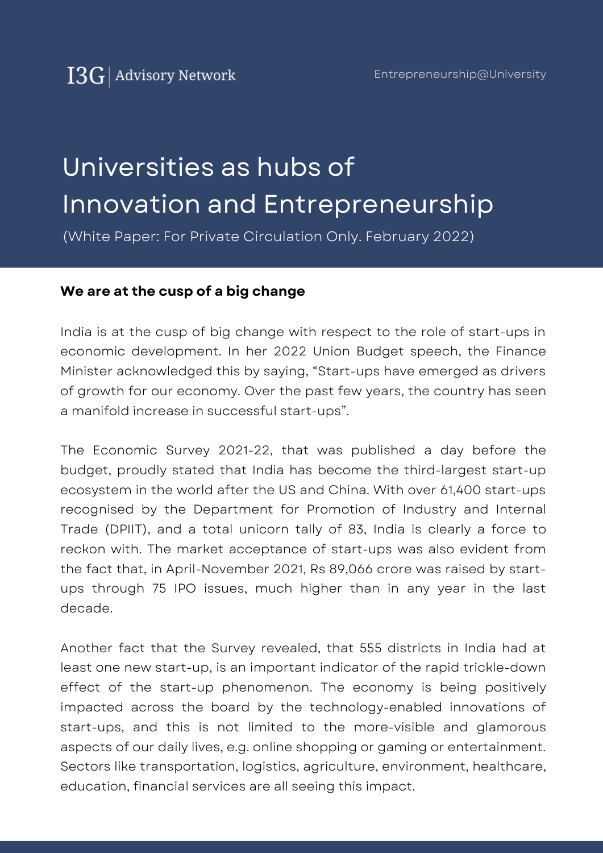# Universities as hubs of Innovation and Entrepreneurship

(White Paper: For Private Circulation Only. February 2022)

#### **We are at the cusp of a big change**

India is at the cusp of big change with respect to the role of start-ups in economic development. In her 2022 Union Budget speech, the Finance Minister acknowledged this by saying, "Start-ups have emerged as drivers of growth for our economy. Over the past few years, the country has seen a manifold increase in successful start-ups".

The Economic Survey 2021-22, that was published a day before the budget, proudly stated that India has become the third-largest start-up ecosystem in the world after the US and China. With over 61,400 start-ups recognised by the Department for Promotion of Industry and Internal Trade (DPIIT), and a total unicorn tally of 83, India is clearly a force to reckon with. The market acceptance of start-ups was also evident from the fact that, in April-November 2021, Rs 89,066 crore was raised by startups through 75 IPO issues, much higher than in any year in the last decade.

Another fact that the Survey revealed, that 555 districts in India had at least one new start-up, is an important indicator of the rapid trickle-down effect of the start-up phenomenon. The economy is being positively impacted across the board by the technology-enabled innovations of start-ups, and this is not limited to the more-visible and glamorous aspects of our daily lives, e.g. online shopping or gaming or entertainment. Sectors like transportation, logistics, agriculture, environment, healthcare, education, financial services are all seeing this impact.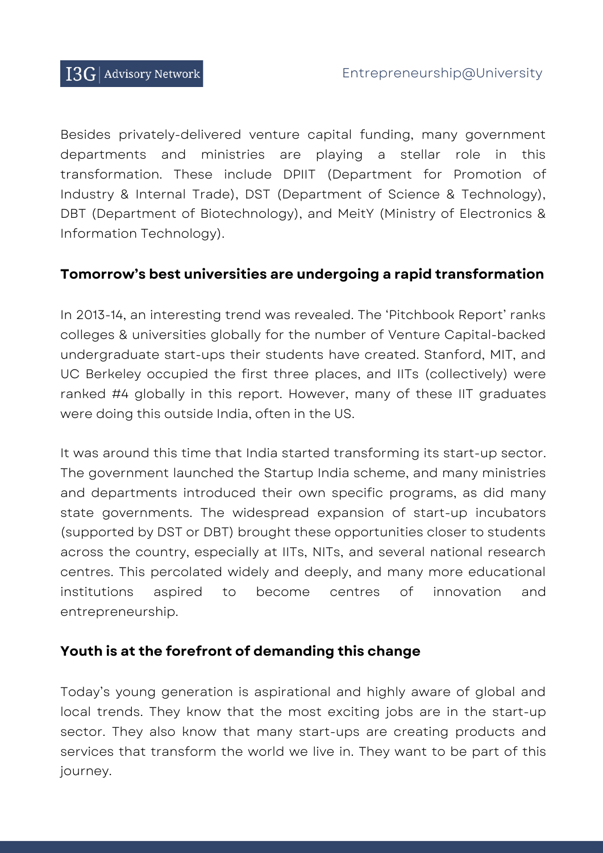Besides privately-delivered venture capital funding, many government departments and ministries are playing a stellar role in this transformation. These include DPIIT (Department for Promotion of Industry & Internal Trade), DST (Department of Science & Technology), DBT (Department of Biotechnology), and MeitY (Ministry of Electronics & Information Technology).

#### **Tomorrow's best universities are undergoing a rapid transformation**

In 2013-14, an interesting trend was revealed. The 'Pitchbook Report' ranks colleges & universities globally for the number of Venture Capital-backed undergraduate start-ups their students have created. Stanford, MIT, and UC Berkeley occupied the first three places, and IITs (collectively) were ranked #4 globally in this report. However, many of these IIT graduates were doing this outside India, often in the US.

It was around this time that India started transforming its start-up sector. The government launched the Startup India scheme, and many ministries and departments introduced their own specific programs, as did many state governments. The widespread expansion of start-up incubators (supported by DST or DBT) brought these opportunities closer to students across the country, especially at IITs, NITs, and several national research centres. This percolated widely and deeply, and many more educational institutions aspired to become centres of innovation and entrepreneurship.

#### **Youth is at the forefront of demanding this change**

Today's young generation is aspirational and highly aware of global and local trends. They know that the most exciting jobs are in the start-up sector. They also know that many start-ups are creating products and services that transform the world we live in. They want to be part of this journey.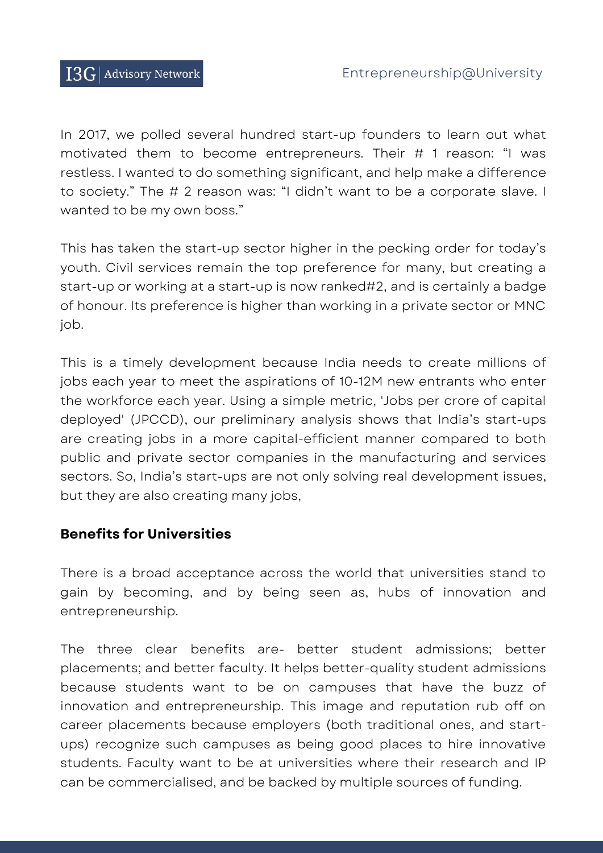In 2017, we polled several hundred start-up founders to learn out what motivated them to become entrepreneurs. Their # 1 reason: "I was restless. I wanted to do something significant, and help make a difference to society." The # 2 reason was: "I didn't want to be a corporate slave. I wanted to be my own boss."

This has taken the start-up sector higher in the pecking order for today's youth. Civil services remain the top preference for many, but creating a start-up or working at a start-up is now ranked#2, and is certainly a badge of honour. Its preference is higher than working in a private sector or MNC job.

This is a timely development because India needs to create millions of jobs each year to meet the aspirations of 10-12M new entrants who enter the workforce each year. Using a simple metric, 'Jobs per crore of capital deployed' (JPCCD), our preliminary analysis shows that India's start-ups are creating jobs in a more capital-efficient manner compared to both public and private sector companies in the manufacturing and services sectors. So, India's start-ups are not only solving real development issues, but they are also creating many jobs,

#### **Benefits for Universities**

There is a broad acceptance across the world that universities stand to gain by becoming, and by being seen as, hubs of innovation and entrepreneurship.

The three clear benefits are- better student admissions; better placements; and better faculty. It helps better-quality student admissions because students want to be on campuses that have the buzz of innovation and entrepreneurship. This image and reputation rub off on career placements because employers (both traditional ones, and startups) recognize such campuses as being good places to hire innovative students. Faculty want to be at universities where their research and IP can be commercialised, and be backed by multiple sources of funding.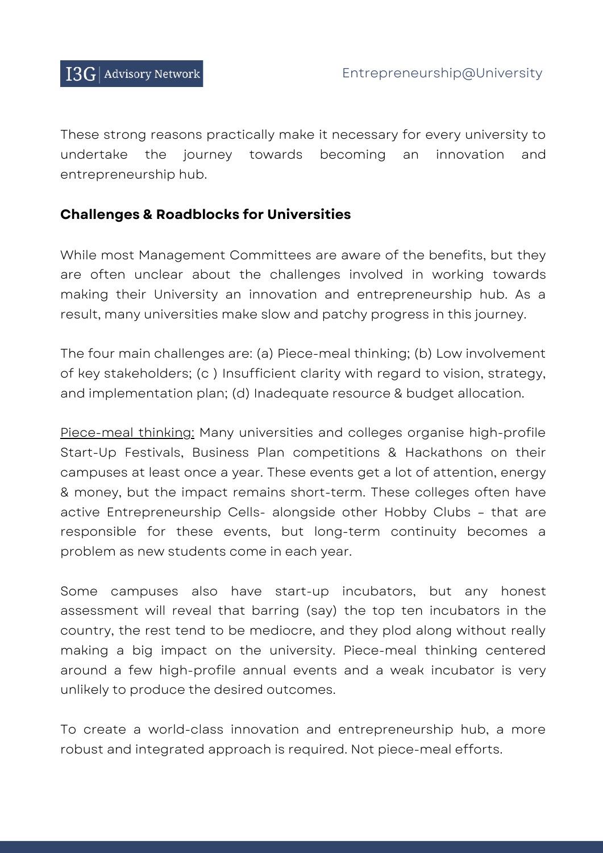These strong reasons practically make it necessary for every university to undertake the journey towards becoming an innovation and entrepreneurship hub.

#### **Challenges & Roadblocks for Universities**

While most Management Committees are aware of the benefits, but they are often unclear about the challenges involved in working towards making their University an innovation and entrepreneurship hub. As a result, many universities make slow and patchy progress in this journey.

The four main challenges are: (a) Piece-meal thinking; (b) Low involvement of key stakeholders; (c ) Insufficient clarity with regard to vision, strategy, and implementation plan; (d) Inadequate resource & budget allocation.

Piece-meal thinking: Many universities and colleges organise high-profile Start-Up Festivals, Business Plan competitions & Hackathons on their campuses at least once a year. These events get a lot of attention, energy & money, but the impact remains short-term. These colleges often have active Entrepreneurship Cells- alongside other Hobby Clubs – that are responsible for these events, but long-term continuity becomes a problem as new students come in each year.

Some campuses also have start-up incubators, but any honest assessment will reveal that barring (say) the top ten incubators in the country, the rest tend to be mediocre, and they plod along without really making a big impact on the university. Piece-meal thinking centered around a few high-profile annual events and a weak incubator is very unlikely to produce the desired outcomes.

To create a world-class innovation and entrepreneurship hub, a more robust and integrated approach is required. Not piece-meal efforts.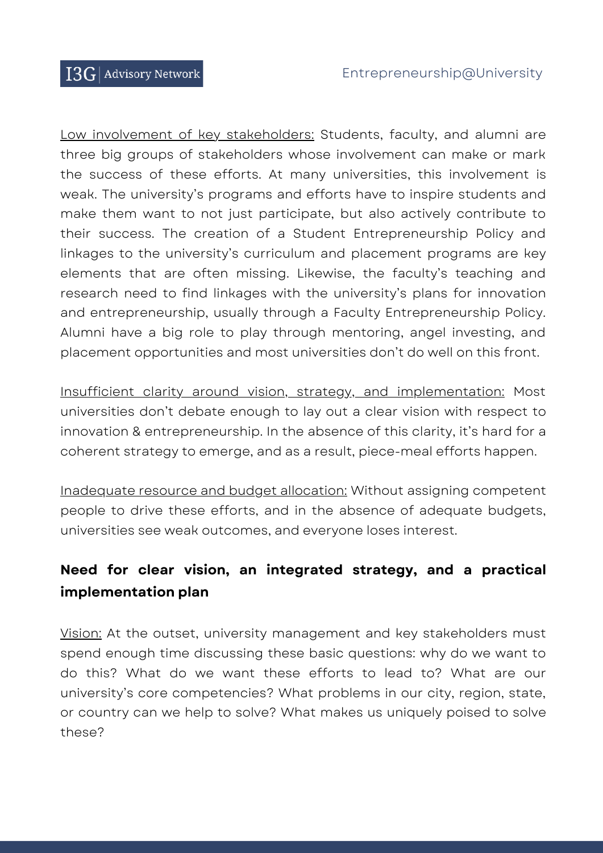Low involvement of key stakeholders: Students, faculty, and alumni are three big groups of stakeholders whose involvement can make or mark the success of these efforts. At many universities, this involvement is weak. The university's programs and efforts have to inspire students and make them want to not just participate, but also actively contribute to their success. The creation of a Student Entrepreneurship Policy and linkages to the university's curriculum and placement programs are key elements that are often missing. Likewise, the faculty's teaching and research need to find linkages with the university's plans for innovation and entrepreneurship, usually through a Faculty Entrepreneurship Policy. Alumni have a big role to play through mentoring, angel investing, and placement opportunities and most universities don't do well on this front.

Insufficient clarity around vision, strategy, and implementation: Most universities don't debate enough to lay out a clear vision with respect to innovation & entrepreneurship. In the absence of this clarity, it's hard for a coherent strategy to emerge, and as a result, piece-meal efforts happen.

Inadequate resource and budget allocation: Without assigning competent people to drive these efforts, and in the absence of adequate budgets, universities see weak outcomes, and everyone loses interest.

### **Need for clear vision, an integrated strategy, and a practical implementation plan**

Vision: At the outset, university management and key stakeholders must spend enough time discussing these basic questions: why do we want to do this? What do we want these efforts to lead to? What are our university's core competencies? What problems in our city, region, state, or country can we help to solve? What makes us uniquely poised to solve these?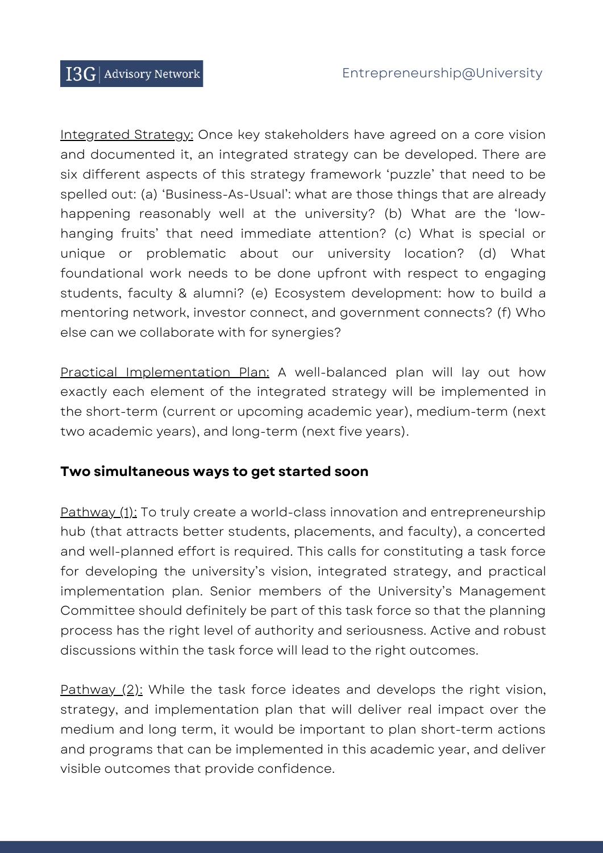Integrated Strategy: Once key stakeholders have agreed on a core vision and documented it, an integrated strategy can be developed. There are six different aspects of this strategy framework 'puzzle' that need to be spelled out: (a) 'Business-As-Usual': what are those things that are already happening reasonably well at the university? (b) What are the 'lowhanging fruits' that need immediate attention? (c) What is special or unique or problematic about our university location? (d) What foundational work needs to be done upfront with respect to engaging students, faculty & alumni? (e) Ecosystem development: how to build a mentoring network, investor connect, and government connects? (f) Who else can we collaborate with for synergies?

Practical Implementation Plan: A well-balanced plan will lay out how exactly each element of the integrated strategy will be implemented in the short-term (current or upcoming academic year), medium-term (next two academic years), and long-term (next five years).

#### **Two simultaneous ways to get started soon**

Pathway (1): To truly create a world-class innovation and entrepreneurship hub (that attracts better students, placements, and faculty), a concerted and well-planned effort is required. This calls for constituting a task force for developing the university's vision, integrated strategy, and practical implementation plan. Senior members of the University's Management Committee should definitely be part of this task force so that the planning process has the right level of authority and seriousness. Active and robust discussions within the task force will lead to the right outcomes.

Pathway (2): While the task force ideates and develops the right vision, strategy, and implementation plan that will deliver real impact over the medium and long term, it would be important to plan short-term actions and programs that can be implemented in this academic year, and deliver visible outcomes that provide confidence.